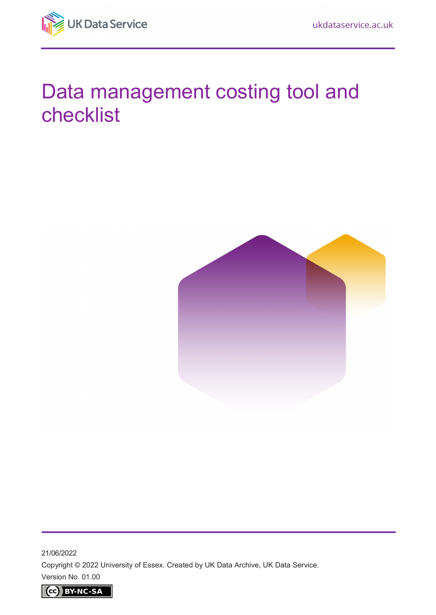

# Data management costing tool and checklist



21/06/2022 Copyright © 2022 University of Essex. Created by UK Data Archive, UK Data Service. Version No. 01.00

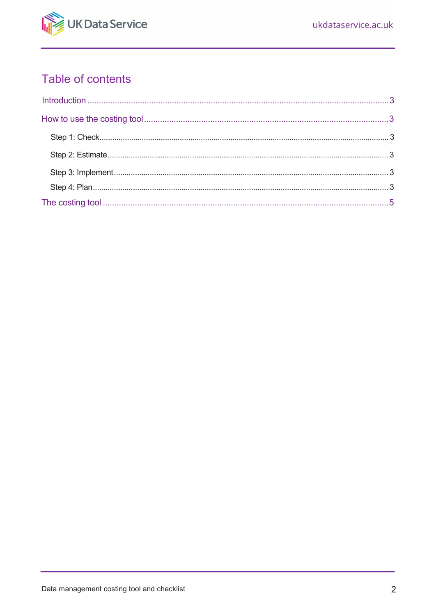

### <span id="page-1-0"></span>Table of contents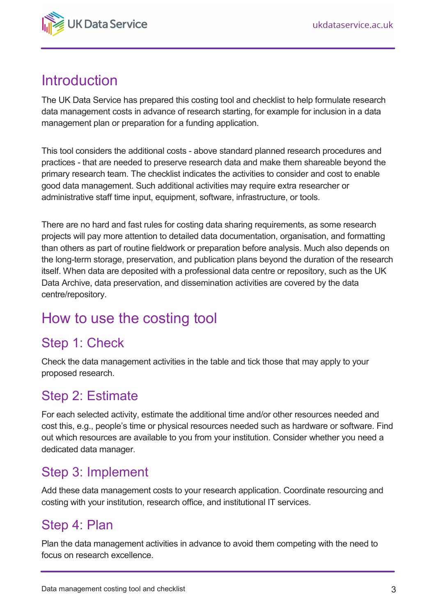

### <span id="page-2-0"></span>**Introduction**

The UK Data Service has prepared this costing tool and checklist to help formulate research data management costs in advance of research starting, for example for inclusion in a data management plan or preparation for a funding application.

This tool considers the additional costs - above standard planned research procedures and practices - that are needed to preserve research data and make them shareable beyond the primary research team. The checklist indicates the activities to consider and cost to enable good data management. Such additional activities may require extra researcher or administrative staff time input, equipment, software, infrastructure, or tools.

There are no hard and fast rules for costing data sharing requirements, as some research projects will pay more attention to detailed data documentation, organisation, and formatting than others as part of routine fieldwork or preparation before analysis. Much also depends on the long-term storage, preservation, and publication plans beyond the duration of the research itself. When data are deposited with a professional data centre or repository, such as the UK Data Archive, data preservation, and dissemination activities are covered by the data centre/repository.

## <span id="page-2-1"></span>How to use the costing tool

#### <span id="page-2-2"></span>Step 1: Check

Check the data management activities in the table and tick those that may apply to your proposed research.

#### <span id="page-2-3"></span>Step 2: Estimate

For each selected activity, estimate the additional time and/or other resources needed and cost this, e.g., people's time or physical resources needed such as hardware or software. Find out which resources are available to you from your institution. Consider whether you need a dedicated data manager.

#### <span id="page-2-4"></span>Step 3: Implement

Add these data management costs to your research application. Coordinate resourcing and costing with your institution, research office, and institutional IT services.

#### <span id="page-2-5"></span>Step 4: Plan

Plan the data management activities in advance to avoid them competing with the need to focus on research excellence.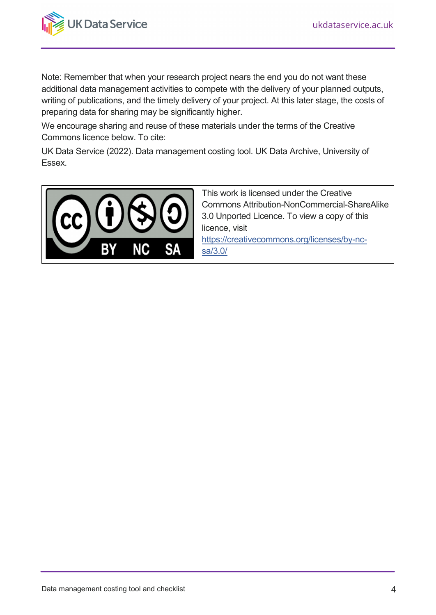

Note: Remember that when your research project nears the end you do not want these additional data management activities to compete with the delivery of your planned outputs, writing of publications, and the timely delivery of your project. At this later stage, the costs of preparing data for sharing may be significantly higher.

We encourage sharing and reuse of these materials under the terms of the Creative Commons licence below. To cite:

UK Data Service (2022). Data management costing tool. UK Data Archive, University of Essex.



This work is licensed under the Creative Commons Attribution-NonCommercial-ShareAlike 3.0 Unported Licence. To view a copy of this licence, visit [https://creativecommons.org/licenses/by-nc](https://creativecommons.org/licenses/by-nc-sa/3.0/)[sa/3.0/](https://creativecommons.org/licenses/by-nc-sa/3.0/)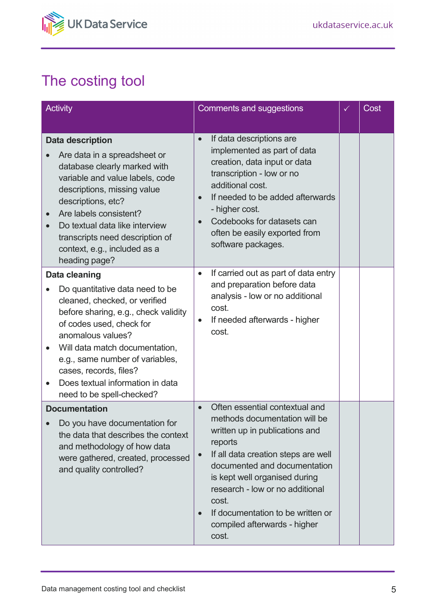

## <span id="page-4-0"></span>The costing tool

| <b>Activity</b>                                                                                                                                                                                                                                                                                                                            | Comments and suggestions                                                                                                                                                                                                                                                                                                                                    |  | Cost |
|--------------------------------------------------------------------------------------------------------------------------------------------------------------------------------------------------------------------------------------------------------------------------------------------------------------------------------------------|-------------------------------------------------------------------------------------------------------------------------------------------------------------------------------------------------------------------------------------------------------------------------------------------------------------------------------------------------------------|--|------|
| <b>Data description</b><br>Are data in a spreadsheet or<br>database clearly marked with<br>variable and value labels, code<br>descriptions, missing value<br>descriptions, etc?<br>Are labels consistent?<br>Do textual data like interview<br>transcripts need description of<br>context, e.g., included as a<br>heading page?            | If data descriptions are<br>$\bullet$<br>implemented as part of data<br>creation, data input or data<br>transcription - low or no<br>additional cost.<br>If needed to be added afterwards<br>$\bullet$<br>- higher cost.<br>Codebooks for datasets can<br>$\bullet$<br>often be easily exported from<br>software packages.                                  |  |      |
| Data cleaning<br>Do quantitative data need to be<br>cleaned, checked, or verified<br>before sharing, e.g., check validity<br>of codes used, check for<br>anomalous values?<br>Will data match documentation,<br>e.g., same number of variables,<br>cases, records, files?<br>Does textual information in data<br>need to be spell-checked? | If carried out as part of data entry<br>$\bullet$<br>and preparation before data<br>analysis - low or no additional<br>cost.<br>If needed afterwards - higher<br>cost.                                                                                                                                                                                      |  |      |
| <b>Documentation</b><br>Do you have documentation for<br>the data that describes the context<br>and methodology of how data<br>were gathered, created, processed<br>and quality controlled?                                                                                                                                                | Often essential contextual and<br>methods documentation will be<br>written up in publications and<br>reports<br>If all data creation steps are well<br>$\bullet$<br>documented and documentation<br>is kept well organised during<br>research - low or no additional<br>cost.<br>If documentation to be written or<br>compiled afterwards - higher<br>cost. |  |      |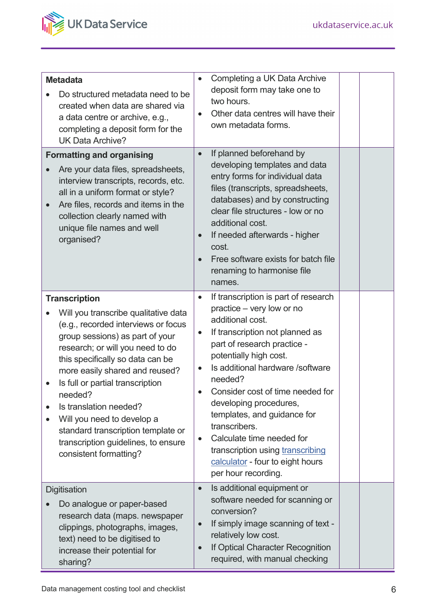

| <b>Metadata</b><br>Do structured metadata need to be<br>created when data are shared via<br>a data centre or archive, e.g.,<br>completing a deposit form for the<br><b>UK Data Archive?</b>                                                                                                                                                                                                                                                                    | Completing a UK Data Archive<br>$\bullet$<br>deposit form may take one to<br>two hours.<br>Other data centres will have their<br>$\bullet$<br>own metadata forms.                                                                                                                                                                                                                                                                                                                                                              |
|----------------------------------------------------------------------------------------------------------------------------------------------------------------------------------------------------------------------------------------------------------------------------------------------------------------------------------------------------------------------------------------------------------------------------------------------------------------|--------------------------------------------------------------------------------------------------------------------------------------------------------------------------------------------------------------------------------------------------------------------------------------------------------------------------------------------------------------------------------------------------------------------------------------------------------------------------------------------------------------------------------|
| <b>Formatting and organising</b><br>Are your data files, spreadsheets,<br>interview transcripts, records, etc.<br>all in a uniform format or style?<br>Are files, records and items in the<br>collection clearly named with<br>unique file names and well<br>organised?                                                                                                                                                                                        | If planned beforehand by<br>$\bullet$<br>developing templates and data<br>entry forms for individual data<br>files (transcripts, spreadsheets,<br>databases) and by constructing<br>clear file structures - low or no<br>additional cost.<br>If needed afterwards - higher<br>cost.<br>Free software exists for batch file<br>$\bullet$<br>renaming to harmonise file<br>names.                                                                                                                                                |
| <b>Transcription</b><br>Will you transcribe qualitative data<br>(e.g., recorded interviews or focus<br>group sessions) as part of your<br>research; or will you need to do<br>this specifically so data can be<br>more easily shared and reused?<br>Is full or partial transcription<br>needed?<br>Is translation needed?<br>Will you need to develop a<br>standard transcription template or<br>transcription guidelines, to ensure<br>consistent formatting? | If transcription is part of research<br>$\bullet$<br>practice – very low or no<br>additional cost.<br>If transcription not planned as<br>$\bullet$<br>part of research practice -<br>potentially high cost.<br>Is additional hardware /software<br>$\bullet$<br>needed?<br>Consider cost of time needed for<br>developing procedures,<br>templates, and guidance for<br>transcribers.<br>Calculate time needed for<br>$\bullet$<br>transcription using transcribing<br>calculator - four to eight hours<br>per hour recording. |
| Digitisation<br>Do analogue or paper-based<br>research data (maps. newspaper<br>clippings, photographs, images,<br>text) need to be digitised to<br>increase their potential for<br>sharing?                                                                                                                                                                                                                                                                   | Is additional equipment or<br>$\bullet$<br>software needed for scanning or<br>conversion?<br>If simply image scanning of text -<br>$\bullet$<br>relatively low cost.<br>If Optical Character Recognition<br>required, with manual checking                                                                                                                                                                                                                                                                                     |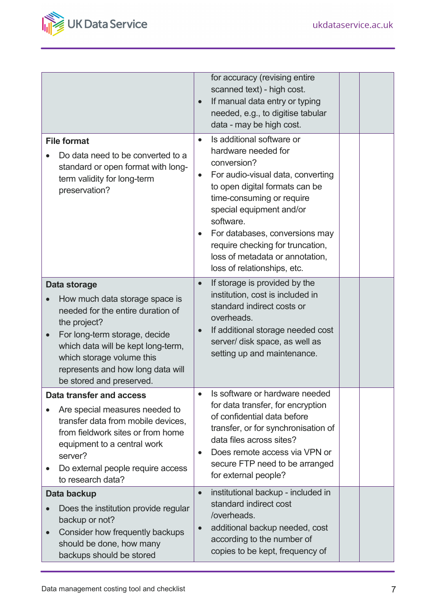

|                                                                                                                                                                                                                                                                          | $\bullet$                           | for accuracy (revising entire<br>scanned text) - high cost.<br>If manual data entry or typing<br>needed, e.g., to digitise tabular<br>data - may be high cost.                                                                                                                                                                                       |  |
|--------------------------------------------------------------------------------------------------------------------------------------------------------------------------------------------------------------------------------------------------------------------------|-------------------------------------|------------------------------------------------------------------------------------------------------------------------------------------------------------------------------------------------------------------------------------------------------------------------------------------------------------------------------------------------------|--|
| <b>File format</b><br>Do data need to be converted to a<br>standard or open format with long-<br>term validity for long-term<br>preservation?                                                                                                                            | $\bullet$<br>$\bullet$<br>$\bullet$ | Is additional software or<br>hardware needed for<br>conversion?<br>For audio-visual data, converting<br>to open digital formats can be<br>time-consuming or require<br>special equipment and/or<br>software.<br>For databases, conversions may<br>require checking for truncation,<br>loss of metadata or annotation,<br>loss of relationships, etc. |  |
| Data storage<br>How much data storage space is<br>needed for the entire duration of<br>the project?<br>For long-term storage, decide<br>which data will be kept long-term,<br>which storage volume this<br>represents and how long data will<br>be stored and preserved. | $\bullet$<br>$\bullet$              | If storage is provided by the<br>institution, cost is included in<br>standard indirect costs or<br>overheads.<br>If additional storage needed cost<br>server/ disk space, as well as<br>setting up and maintenance.                                                                                                                                  |  |
| <b>Data transfer and access</b><br>Are special measures needed to<br>transfer data from mobile devices,<br>from fieldwork sites or from home<br>equipment to a central work<br>server?<br>Do external people require access<br>to research data?                         | $\bullet$                           | Is software or hardware needed<br>for data transfer, for encryption<br>of confidential data before<br>transfer, or for synchronisation of<br>data files across sites?<br>Does remote access via VPN or<br>secure FTP need to be arranged<br>for external people?                                                                                     |  |
| Data backup<br>Does the institution provide regular<br>backup or not?<br>Consider how frequently backups<br>should be done, how many<br>backups should be stored                                                                                                         | $\bullet$<br>$\bullet$              | institutional backup - included in<br>standard indirect cost<br>/overheads.<br>additional backup needed, cost<br>according to the number of<br>copies to be kept, frequency of                                                                                                                                                                       |  |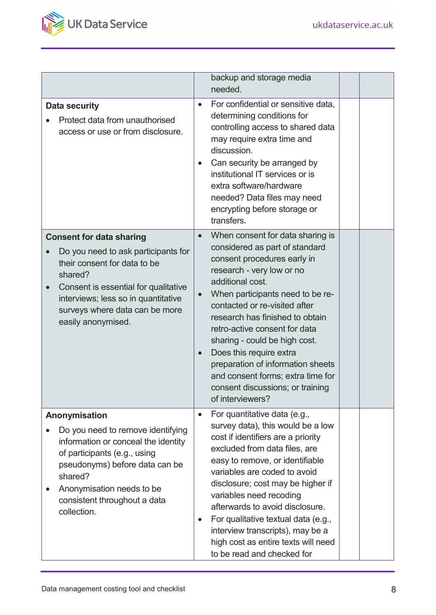

|                                                                                                                                                                                                                                                          | backup and storage media<br>needed.                                                                                                                                                                                                                                                                                                                                                                                                                                                                                              |
|----------------------------------------------------------------------------------------------------------------------------------------------------------------------------------------------------------------------------------------------------------|----------------------------------------------------------------------------------------------------------------------------------------------------------------------------------------------------------------------------------------------------------------------------------------------------------------------------------------------------------------------------------------------------------------------------------------------------------------------------------------------------------------------------------|
| <b>Data security</b><br>Protect data from unauthorised<br>access or use or from disclosure.                                                                                                                                                              | For confidential or sensitive data,<br>$\bullet$<br>determining conditions for<br>controlling access to shared data<br>may require extra time and<br>discussion.<br>Can security be arranged by<br>$\bullet$<br>institutional IT services or is<br>extra software/hardware<br>needed? Data files may need<br>encrypting before storage or<br>transfers.                                                                                                                                                                          |
| <b>Consent for data sharing</b><br>Do you need to ask participants for<br>their consent for data to be<br>shared?<br>Consent is essential for qualitative<br>interviews; less so in quantitative<br>surveys where data can be more<br>easily anonymised. | When consent for data sharing is<br>$\bullet$<br>considered as part of standard<br>consent procedures early in<br>research - very low or no<br>additional cost.<br>When participants need to be re-<br>$\bullet$<br>contacted or re-visited after<br>research has finished to obtain<br>retro-active consent for data<br>sharing - could be high cost.<br>Does this require extra<br>$\bullet$<br>preparation of information sheets<br>and consent forms; extra time for<br>consent discussions; or training<br>of interviewers? |
| Anonymisation<br>Do you need to remove identifying<br>information or conceal the identity<br>of participants (e.g., using<br>pseudonyms) before data can be<br>shared?<br>Anonymisation needs to be<br>consistent throughout a data<br>collection.       | For quantitative data (e.g.,<br>$\bullet$<br>survey data), this would be a low<br>cost if identifiers are a priority<br>excluded from data files, are<br>easy to remove, or identifiable<br>variables are coded to avoid<br>disclosure; cost may be higher if<br>variables need recoding<br>afterwards to avoid disclosure.<br>For qualitative textual data (e.g.,<br>$\bullet$<br>interview transcripts), may be a<br>high cost as entire texts will need<br>to be read and checked for                                         |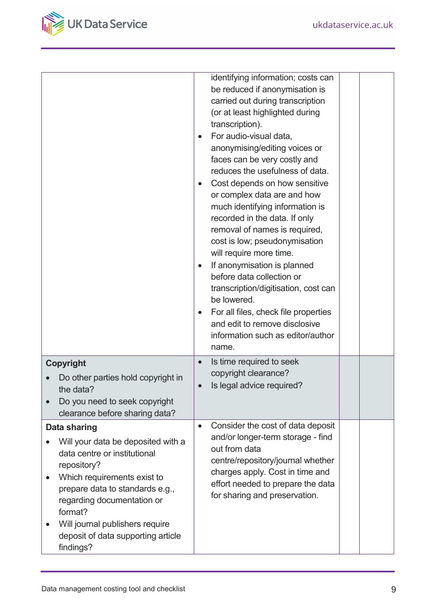

|                                                                                                                                                                                                                                                        | identifying information; costs can<br>be reduced if anonymisation is<br>carried out during transcription<br>(or at least highlighted during<br>transcription).<br>For audio-visual data,<br>$\bullet$<br>anonymising/editing voices or<br>faces can be very costly and<br>reduces the usefulness of data.<br>Cost depends on how sensitive<br>or complex data are and how<br>much identifying information is<br>recorded in the data. If only<br>removal of names is required,<br>cost is low; pseudonymisation<br>will require more time.<br>If anonymisation is planned<br>$\bullet$<br>before data collection or<br>transcription/digitisation, cost can<br>be lowered.<br>For all files, check file properties<br>$\bullet$<br>and edit to remove disclosive<br>information such as editor/author<br>name. |
|--------------------------------------------------------------------------------------------------------------------------------------------------------------------------------------------------------------------------------------------------------|----------------------------------------------------------------------------------------------------------------------------------------------------------------------------------------------------------------------------------------------------------------------------------------------------------------------------------------------------------------------------------------------------------------------------------------------------------------------------------------------------------------------------------------------------------------------------------------------------------------------------------------------------------------------------------------------------------------------------------------------------------------------------------------------------------------|
| <b>Copyright</b>                                                                                                                                                                                                                                       | Is time required to seek<br>$\bullet$                                                                                                                                                                                                                                                                                                                                                                                                                                                                                                                                                                                                                                                                                                                                                                          |
| Do other parties hold copyright in                                                                                                                                                                                                                     | copyright clearance?                                                                                                                                                                                                                                                                                                                                                                                                                                                                                                                                                                                                                                                                                                                                                                                           |
| the data?                                                                                                                                                                                                                                              | Is legal advice required?<br>$\bullet$                                                                                                                                                                                                                                                                                                                                                                                                                                                                                                                                                                                                                                                                                                                                                                         |
| Do you need to seek copyright                                                                                                                                                                                                                          |                                                                                                                                                                                                                                                                                                                                                                                                                                                                                                                                                                                                                                                                                                                                                                                                                |
| clearance before sharing data?                                                                                                                                                                                                                         |                                                                                                                                                                                                                                                                                                                                                                                                                                                                                                                                                                                                                                                                                                                                                                                                                |
| <b>Data sharing</b><br>Will your data be deposited with a<br>data centre or institutional<br>repository?<br>Which requirements exist to<br>prepare data to standards e.g.,<br>regarding documentation or<br>format?<br>Will journal publishers require | Consider the cost of data deposit<br>$\bullet$<br>and/or longer-term storage - find<br>out from data<br>centre/repository/journal whether<br>charges apply. Cost in time and<br>effort needed to prepare the data<br>for sharing and preservation.                                                                                                                                                                                                                                                                                                                                                                                                                                                                                                                                                             |
| deposit of data supporting article<br>findings?                                                                                                                                                                                                        |                                                                                                                                                                                                                                                                                                                                                                                                                                                                                                                                                                                                                                                                                                                                                                                                                |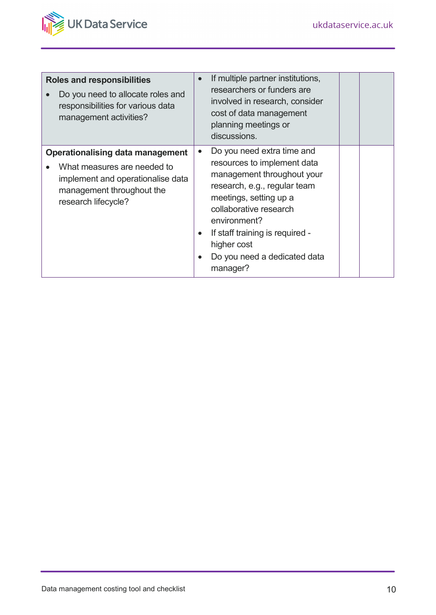

| <b>Roles and responsibilities</b><br>Do you need to allocate roles and<br>responsibilities for various data<br>management activities?                           |                                     | If multiple partner institutions,<br>researchers or funders are<br>involved in research, consider<br>cost of data management<br>planning meetings or<br>discussions.                                                                                                                      |  |
|-----------------------------------------------------------------------------------------------------------------------------------------------------------------|-------------------------------------|-------------------------------------------------------------------------------------------------------------------------------------------------------------------------------------------------------------------------------------------------------------------------------------------|--|
| <b>Operationalising data management</b><br>What measures are needed to<br>implement and operationalise data<br>management throughout the<br>research lifecycle? | $\bullet$<br>$\bullet$<br>$\bullet$ | Do you need extra time and<br>resources to implement data<br>management throughout your<br>research, e.g., regular team<br>meetings, setting up a<br>collaborative research<br>environment?<br>If staff training is required -<br>higher cost<br>Do you need a dedicated data<br>manager? |  |